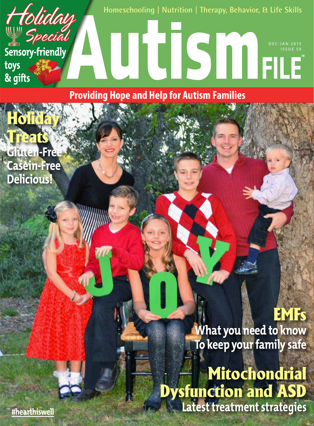

**Providing Hope and Help for Autism Families**

Treats **Gluten-Free Casein-Free Delicious!**

**Holida** 

EMFs **What you need to know To keep your family safe**

Mitochondrial Dysfunction and ASD **Latest treatment strategies**

**#hearthiswell**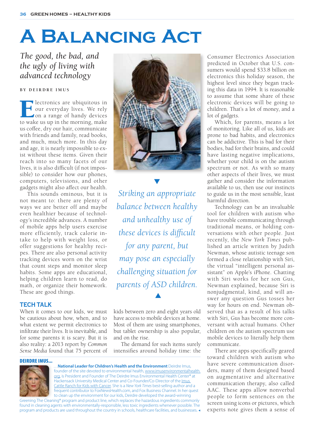# **A Balancing Act**

# *The good, the bad, and the ugly of living with advanced technology*

## **BY DEIRDRE IMUS**

Electronics are ubiquitous in<br>
Four everyday lives. We rely<br>
on a range of handy devices<br>
to wake us up in the morning, make our everyday lives. We rely on a range of handy devices to wake us up in the morning, make us coffee, dry our hair, communicate with friends and family, read books, and much, much more. In this day and age, it is nearly impossible to exist without these items. Given their reach into so many facets of our lives, it is also difficult (if not impossible) to consider how our phones, computers, televisions, and other gadgets might also affect our health.

This sounds ominous, but it is not meant to: there are plenty of ways we are better off and maybe even healthier because of technology's incredible advances. A number of mobile apps help users exercise more efficiently, track calorie intake to help with weight loss, or offer suggestions for healthy recipes. There are also personal activity tracking devices worn on the wrist that count steps and monitor sleep habits. Some apps are educational, helping children learn to read, do math, or organize their homework. These are good things.

# **TECH TALK**

When it comes to our kids, we must be cautious about how, when, and to what extent we permit electronics to infiltrate their lives. It is inevitable, and for some parents it is scary. But it is also reality: a 2013 report by *Common Sense Media* found that 75 percent of



 *Striking an appropriate balance between healthy and unhealthy use of these devices is difficult for any parent, but may pose an especially challenging situation for parents of ASD children.*   $\blacktriangle$ 

kids between zero and eight years old have access to mobile devices at home. Most of them are using smartphones, but tablet ownership is also popular, and on the rise.

The demand for such items surely intensifies around holiday time: the

#### DEIRDRE IMUS...



…**National Leader for Children's Health and the Environment** Deirdre Imus, founder of the site devoted to environmental health, www.imusenvironmentalhealth. org, is President and Founder of The Deirdre Imus Environmental Health Center® at Hackensack University Medical Center and Co-Founder/Co-Director of the Imus Cattle Ranch for Kids with Cancer. She is a *New York Times* best-selling author and a frequent contributor to FoxNewsHealth.com, and Fox Business Channel. In her quest to clean up the environment for our kids, Deirdre developed the award-winning

Greening The Cleaning® program and product line, which replaces the hazardous ingredients commonly found in cleaning agents with environmentally-responsible, less toxic ingredients whenever possible. The program and products are used throughout the country in schools, healthcare facilities, and businesses. Consumer Electronics Association predicted in October that U.S. consumers would spend \$33.8 billion on electronics this holiday season, the highest level since they began tracking this data in 1994. It is reasonable to assume that some share of these electronic devices will be going to children. That's a lot of money, and a lot of gadgets.

Which, for parents, means a lot of monitoring. Like all of us, kids are prone to bad habits, and electronics can be addictive. This is bad for their bodies, bad for their brains, and could have lasting negative implications, whether your child is on the autism spectrum or not. As with so many other aspects of their lives, we must gather and consider the information available to us, then use our instincts to guide us in the most sensible, least harmful direction.

Technology can be an invaluable tool for children with autism who have trouble communicating through traditional means, or holding conversations with other people. Just recently, the *New York Times* published an article written by Judith Newman, whose autistic teenage son formed a close relationship with Siri, the virtual "intelligent personal assistant" on Apple's iPhone. Chatting with Siri works for her son Gus, Newman explained, because Siri is nonjudgmental, kind, and will answer any question Gus tosses her way for hours on end. Newman observed that as a result of his talks with Siri, Gus has become more conversant with actual humans. Other children on the autism spectrum use mobile devices to literally help them communicate.

There are apps specifically geared toward children with autism who have severe communication disorders, many of them designed based on augmentative and alternative communication therapy, also called AAC. These apps allow nonverbal people to form sentences on the screen using icons or pictures, which experts note gives them a sense of